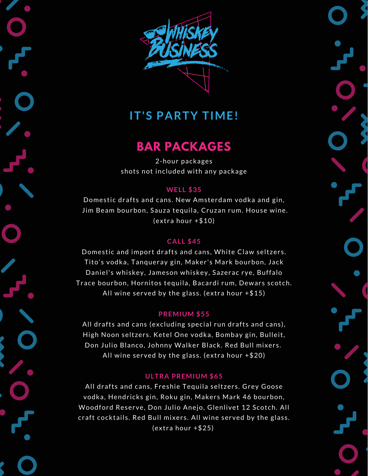

# **IT'S PARTY TIME!**

### **BAR PACKAGES**

2-hour packages shots not included with any package

### **WELL \$35**

Domestic drafts and cans. New Amsterdam vodka and gin, Jim Beam bourbon, Sauza tequila, Cruzan rum. House wine. (extra hour +\$10)

### **CALL \$45**

Domestic and import drafts and cans, White Claw seltzers. Tito's vodka, Tanqueray gin, Maker's Mark bourbon, Jack Daniel's whiskey, Jameson whiskey, Sazerac rye, Buffalo Trace bourbon, Hornitos tequila, Bacardi rum, Dewars scotch. All wine served by the glass. (extra hour +\$15)

### **PREMIUM \$55**

All drafts and cans (excluding special run drafts and cans), High Noon seltzers. Ketel One vodka, Bombay gin, Bulleit, Don Julio Blanco, Johnny Walker Black. Red Bull mixers. All wine served by the glass. (extra hour +\$20)

### **ULTRA PREMIUM \$65**

All drafts and cans, Freshie Tequila seltzers. Grey Goose vodka, Hendricks gin, Roku gin, Makers Mark 46 bourbon, Woodford Reserve, Don Julio Anejo, Glenlivet 12 Scotch. All craft cocktails. Red Bull mixers. All wine served by the glass. (extra hour +\$25)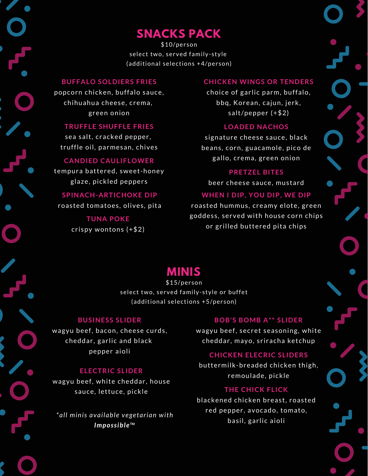# **SNACKS PACK**

\$10/person select two, served family-style (additional selections +4/person)

#### **BUFFALO SOLDIERS FRIES**

popcorn chicken, buffalo sauce, chihuahua cheese, crema, green onion

### **TRUFFLE SHUFFLE FRIES**

sea salt, cracked pepper, truffle oil, parmesan, chives

### **CANDIED CAULIFLOWER**

tempura battered, sweet-honey glaze, pickled peppers

### **SPINACH-ARTICHOKE DIP**

roasted tomatoes, olives, pita

**TUNA POKE** crispy wontons (+\$2)

### **CHICKEN WINGS OR TENDERS**

choice of garlic parm, buffalo, bbq, Korean, cajun, jerk, salt/pepper (+\$2)

### **LOADED NACHOS**

signature cheese sauce, black beans, corn, guacamole, pico de gallo, crema, green onion

#### **PRETZEL BITES**

beer cheese sauce, mustard

### **WHEN I DIP, YOU DIP, WE DIP**

roasted hummus, creamy elote, green goddess, served with house corn chips or grilled buttered pita chips

### **MINIS**

\$15/person select two, served family-style or buffet (additional selections +5/person)

#### **BUSINESS SLIDER**

wagyu beef, bacon, cheese curds, cheddar, garlic and black pepper aioli

### **ELECTRIC SLIDER**

wagyu beef, white cheddar, house sauce, lettuce, pickle

*\*all minis available vegetarian with Impossible™*

### **BOB'S BOMB A\*\* SLIDER**

wagyu beef, secret seasoning, white cheddar, mayo, sriracha ketchup

### **CHICKEN ELECRIC SLIDERS**

buttermilk-breaded chicken thigh, remoulade, pickle

### **THE CHICK FLICK**

blackened chicken breast, roasted red pepper, avocado, tomato, basil, garlic aioli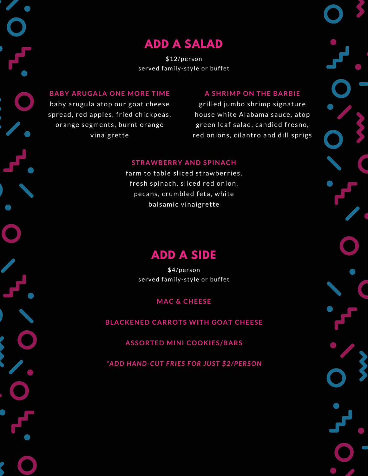# **ADD A SALAD**

\$12/person served family-style or buffet

### **BABY ARUGALA ONE MORE TIME**

baby arugula atop our goat cheese spread, red apples, fried chickpeas, orange segments, burnt orange vinaigrette

### **A SHRIMP ON THE BARBIE**

grilled jumbo shrimp signature house white Alabama sauce, atop green leaf salad, candied fresno, red onions, cilantro and dill sprigs

### **STRAWBERRY AND SPINACH**

farm to table sliced strawberries, fresh spinach, sliced red onion, pecans, crumbled feta, white balsamic vinaigrette

## **ADD A SIDE**

\$4/person served family-style or buffet

### **MAC & CHEESE**

**BLACKENED CARROTS WITH GOAT CHEESE**

**ASSORTED MINI COOKIES/BARS**

*\*ADD HAND-CUT FRIES FOR JUST \$2/PERSON*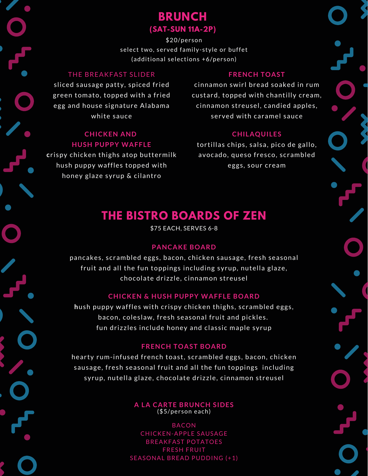### **BRUNCH (SAT-SUN 11A-2P)**

\$20/person select two, served family-style or buffet (additional selections +6/person)

### THE BREAKFAST SLIDER

sliced sausage patty, spiced fried green tomato, topped with a fried egg and house signature Alabama white sauce

### **CHICKEN AND HUSH PUPPY WAFFLE**

**c**rispy chicken thighs atop buttermilk hush puppy waffles topped with honey glaze syrup & cilantro

#### **FRENCH TOAST**

cinnamon swirl bread soaked in rum custard, topped with chantilly cream, cinnamon streusel, candied apples, served with caramel sauce

### **CHILAQUILES**

tortillas chips, salsa, pico de gallo, avocado, queso fresco, scrambled eggs, sour cream

# **THE BISTRO BOARDS OF ZEN**

\$75 EACH, SERVES 6-8

### **PANCAKE BOARD**

pancakes, scrambled eggs, bacon, chicken sausage, fresh seasonal fruit and all the fun toppings including syrup, nutella glaze, chocolate drizzle, cinnamon streusel

#### **CHICKEN & HUSH PUPPY WAFFLE BOARD**

**h**ush puppy waffles with crispy chicken thighs, scrambled eggs, bacon, coleslaw, fresh seasonal fruit and pickles. fun drizzles include honey and classic maple syrup

### **FRENCH TOAST BOARD**

hearty rum-infused french toast, scrambled eggs, bacon, chicken sausage, fresh seasonal fruit and all the fun toppings including syrup, nutella glaze, chocolate drizzle, cinnamon streusel

> **A LA CARTE BRUNCH SIDES** (\$5/person each)

BACON CHICKEN-APPLE SAUSAGE BREAKFAST POTATOES FRESH FRUIT SEASONAL BREAD PUDDING (+1)